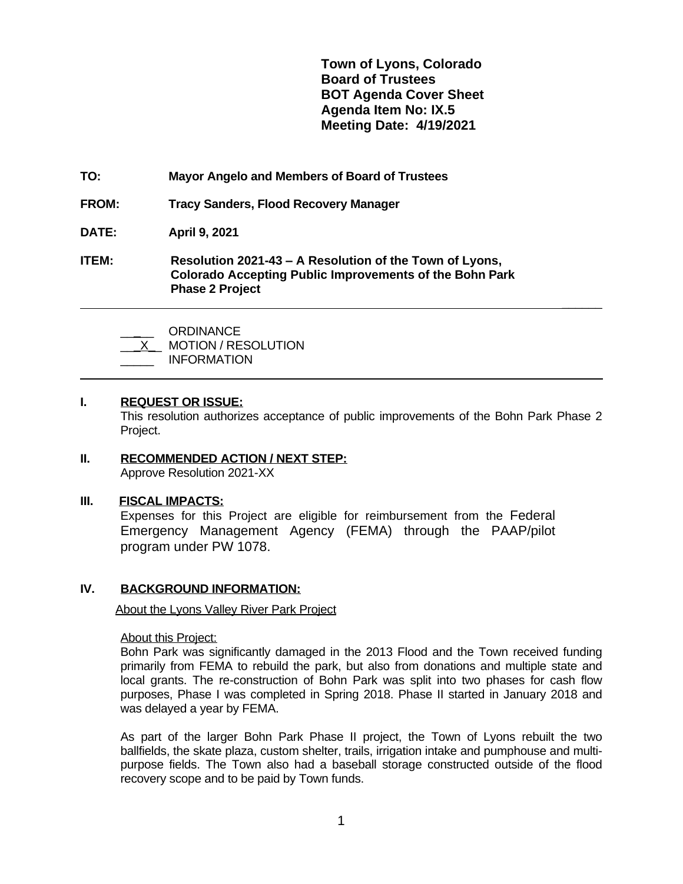**Town of Lyons, Colorado Board of Trustees BOT Agenda Cover Sheet Agenda Item No: IX.5 Meeting Date: 4/19/2021**

 **\_\_\_\_\_\_**

- **TO: Mayor Angelo and Members of Board of Trustees**
- **FROM: Tracy Sanders, Flood Recovery Manager**
- **DATE: April 9, 2021**
- **ITEM: Resolution 2021-43 – A Resolution of the Town of Lyons, Colorado Accepting Public Improvements of the Bohn Park Phase 2 Project**

| <b>ORDINANCE</b> |
|------------------|
| MOTIONI / DECOL  |

| <b>MOTION / RESOLUTION</b> |
|----------------------------|
|                            |

\_\_\_\_\_ INFORMATION

## **I. REQUEST OR ISSUE:**

 $\overline{a}$ 

This resolution authorizes acceptance of public improvements of the Bohn Park Phase 2 Project.

#### **II. RECOMMENDED ACTION / NEXT STEP:** Approve Resolution 2021-XX

### **III. FISCAL IMPACTS:**

Expenses for this Project are eligible for reimbursement from the Federal Emergency Management Agency (FEMA) through the PAAP/pilot program under PW 1078.

# **IV. BACKGROUND INFORMATION:**

About the Lyons Valley River Park Project

### About this Project:

Bohn Park was significantly damaged in the 2013 Flood and the Town received funding primarily from FEMA to rebuild the park, but also from donations and multiple state and local grants. The re-construction of Bohn Park was split into two phases for cash flow purposes, Phase I was completed in Spring 2018. Phase II started in January 2018 and was delayed a year by FEMA.

As part of the larger Bohn Park Phase II project, the Town of Lyons rebuilt the two ballfields, the skate plaza, custom shelter, trails, irrigation intake and pumphouse and multipurpose fields. The Town also had a baseball storage constructed outside of the flood recovery scope and to be paid by Town funds.